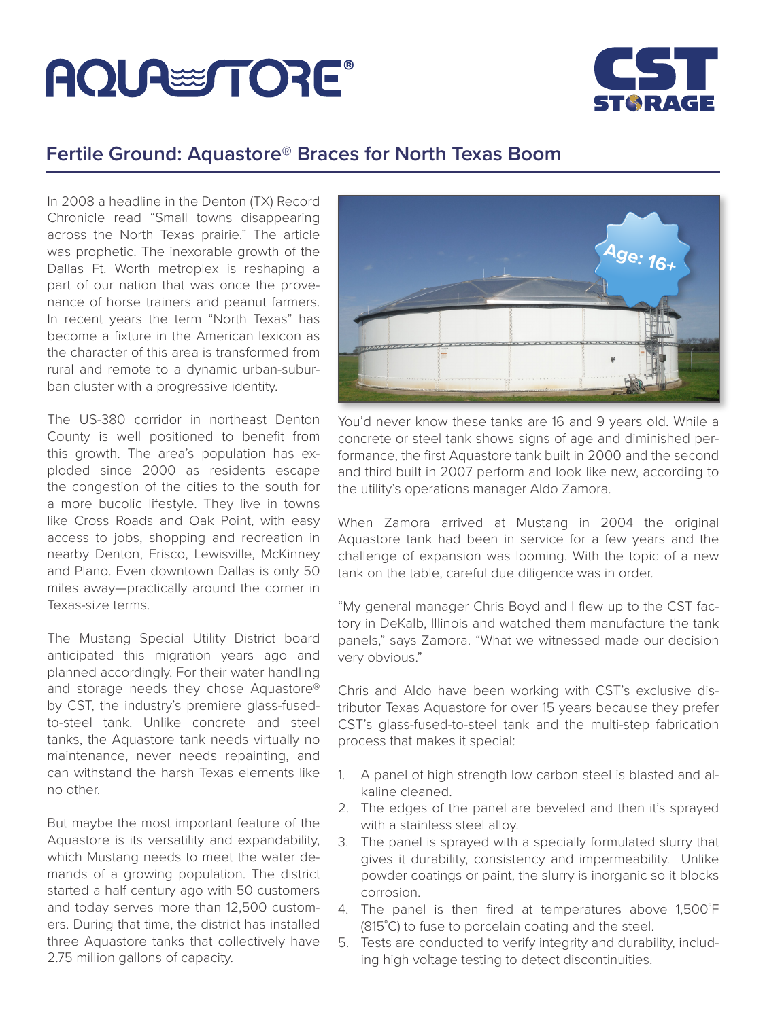## **AQUALE TORE**



## **Fertile Ground: Aquastore**® **Braces for North Texas Boom**

In 2008 a headline in the Denton (TX) Record Chronicle read "Small towns disappearing across the North Texas prairie." The article was prophetic. The inexorable growth of the Dallas Ft. Worth metroplex is reshaping a part of our nation that was once the provenance of horse trainers and peanut farmers. In recent years the term "North Texas" has become a fixture in the American lexicon as the character of this area is transformed from rural and remote to a dynamic urban-suburban cluster with a progressive identity.

The US-380 corridor in northeast Denton County is well positioned to benefit from this growth. The area's population has exploded since 2000 as residents escape the congestion of the cities to the south for a more bucolic lifestyle. They live in towns like Cross Roads and Oak Point, with easy access to jobs, shopping and recreation in nearby Denton, Frisco, Lewisville, McKinney and Plano. Even downtown Dallas is only 50 miles away—practically around the corner in Texas-size terms.

The Mustang Special Utility District board anticipated this migration years ago and planned accordingly. For their water handling and storage needs they chose Aquastore® by CST, the industry's premiere glass-fusedto-steel tank. Unlike concrete and steel tanks, the Aquastore tank needs virtually no maintenance, never needs repainting, and can withstand the harsh Texas elements like no other.

But maybe the most important feature of the Aquastore is its versatility and expandability, which Mustang needs to meet the water demands of a growing population. The district started a half century ago with 50 customers and today serves more than 12,500 customers. During that time, the district has installed three Aquastore tanks that collectively have 2.75 million gallons of capacity.



You'd never know these tanks are 16 and 9 years old. While a concrete or steel tank shows signs of age and diminished performance, the first Aquastore tank built in 2000 and the second and third built in 2007 perform and look like new, according to the utility's operations manager Aldo Zamora.

When Zamora arrived at Mustang in 2004 the original Aquastore tank had been in service for a few years and the challenge of expansion was looming. With the topic of a new tank on the table, careful due diligence was in order.

"My general manager Chris Boyd and I flew up to the CST factory in DeKalb, Illinois and watched them manufacture the tank panels," says Zamora. "What we witnessed made our decision very obvious."

Chris and Aldo have been working with CST's exclusive distributor Texas Aquastore for over 15 years because they prefer CST's glass-fused-to-steel tank and the multi-step fabrication process that makes it special:

- 1. A panel of high strength low carbon steel is blasted and alkaline cleaned.
- 2. The edges of the panel are beveled and then it's sprayed with a stainless steel alloy.
- 3. The panel is sprayed with a specially formulated slurry that gives it durability, consistency and impermeability. Unlike powder coatings or paint, the slurry is inorganic so it blocks corrosion.
- 4. The panel is then fired at temperatures above 1,500˚F (815˚C) to fuse to porcelain coating and the steel.
- 5. Tests are conducted to verify integrity and durability, including high voltage testing to detect discontinuities.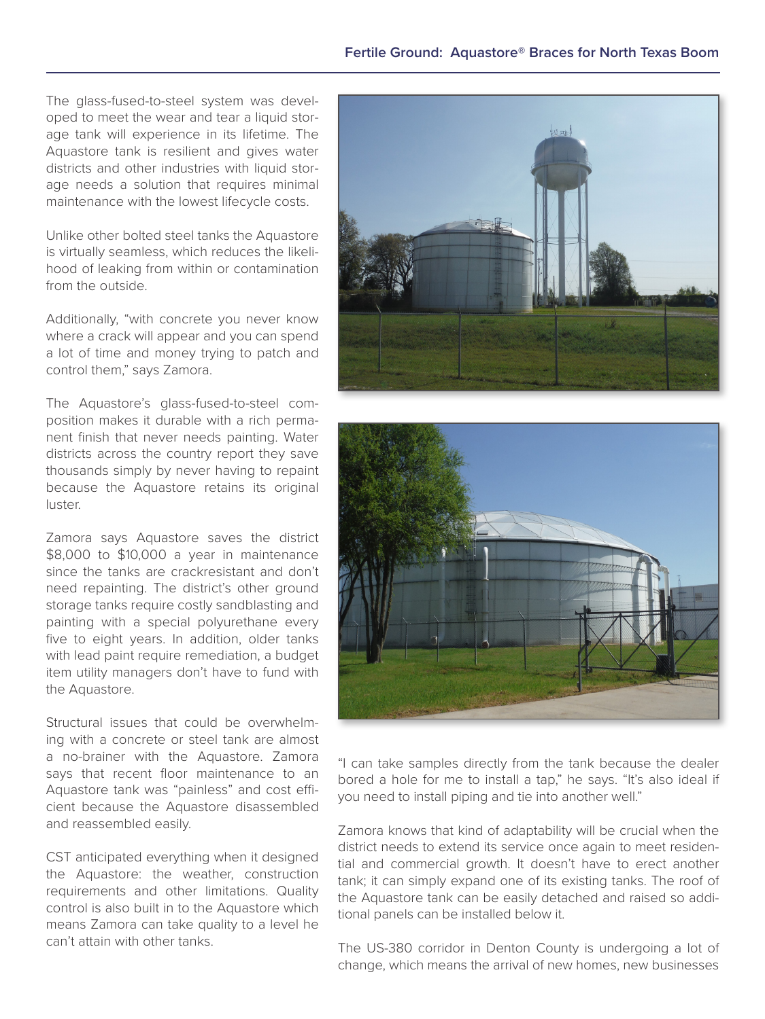The glass-fused-to-steel system was developed to meet the wear and tear a liquid storage tank will experience in its lifetime. The Aquastore tank is resilient and gives water districts and other industries with liquid storage needs a solution that requires minimal maintenance with the lowest lifecycle costs.

Unlike other bolted steel tanks the Aquastore is virtually seamless, which reduces the likelihood of leaking from within or contamination from the outside.

Additionally, "with concrete you never know where a crack will appear and you can spend a lot of time and money trying to patch and control them," says Zamora.

The Aquastore's glass-fused-to-steel composition makes it durable with a rich permanent finish that never needs painting. Water districts across the country report they save thousands simply by never having to repaint because the Aquastore retains its original luster.

Zamora says Aquastore saves the district \$8,000 to \$10,000 a year in maintenance since the tanks are crackresistant and don't need repainting. The district's other ground storage tanks require costly sandblasting and painting with a special polyurethane every five to eight years. In addition, older tanks with lead paint require remediation, a budget item utility managers don't have to fund with the Aquastore.

Structural issues that could be overwhelming with a concrete or steel tank are almost a no-brainer with the Aquastore. Zamora says that recent floor maintenance to an Aquastore tank was "painless" and cost efficient because the Aquastore disassembled and reassembled easily.

CST anticipated everything when it designed the Aquastore: the weather, construction requirements and other limitations. Quality control is also built in to the Aquastore which means Zamora can take quality to a level he can't attain with other tanks.





"I can take samples directly from the tank because the dealer bored a hole for me to install a tap," he says. "It's also ideal if you need to install piping and tie into another well."

Zamora knows that kind of adaptability will be crucial when the district needs to extend its service once again to meet residential and commercial growth. It doesn't have to erect another tank; it can simply expand one of its existing tanks. The roof of the Aquastore tank can be easily detached and raised so additional panels can be installed below it.

The US-380 corridor in Denton County is undergoing a lot of change, which means the arrival of new homes, new businesses